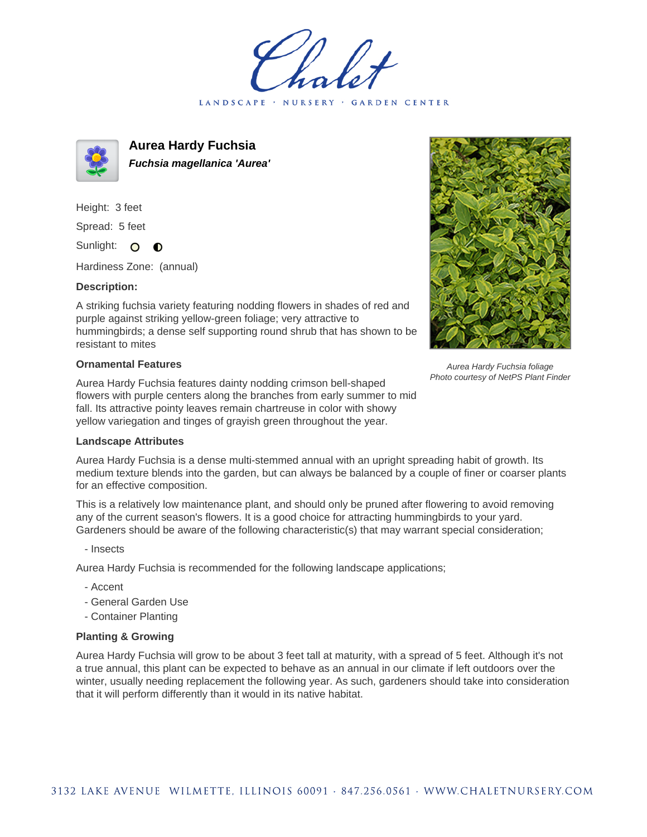LANDSCAPE · NURSERY · GARDEN CENTER



**Aurea Hardy Fuchsia Fuchsia magellanica 'Aurea'**

Height: 3 feet Spread: 5 feet Sunlight: O O

Hardiness Zone: (annual)

## **Description:**

A striking fuchsia variety featuring nodding flowers in shades of red and purple against striking yellow-green foliage; very attractive to hummingbirds; a dense self supporting round shrub that has shown to be resistant to mites

## **Ornamental Features**

Aurea Hardy Fuchsia features dainty nodding crimson bell-shaped flowers with purple centers along the branches from early summer to mid fall. Its attractive pointy leaves remain chartreuse in color with showy yellow variegation and tinges of grayish green throughout the year.



Aurea Hardy Fuchsia foliage Photo courtesy of NetPS Plant Finder

## **Landscape Attributes**

Aurea Hardy Fuchsia is a dense multi-stemmed annual with an upright spreading habit of growth. Its medium texture blends into the garden, but can always be balanced by a couple of finer or coarser plants for an effective composition.

This is a relatively low maintenance plant, and should only be pruned after flowering to avoid removing any of the current season's flowers. It is a good choice for attracting hummingbirds to your yard. Gardeners should be aware of the following characteristic(s) that may warrant special consideration;

- Insects

Aurea Hardy Fuchsia is recommended for the following landscape applications;

- Accent
- General Garden Use
- Container Planting

## **Planting & Growing**

Aurea Hardy Fuchsia will grow to be about 3 feet tall at maturity, with a spread of 5 feet. Although it's not a true annual, this plant can be expected to behave as an annual in our climate if left outdoors over the winter, usually needing replacement the following year. As such, gardeners should take into consideration that it will perform differently than it would in its native habitat.